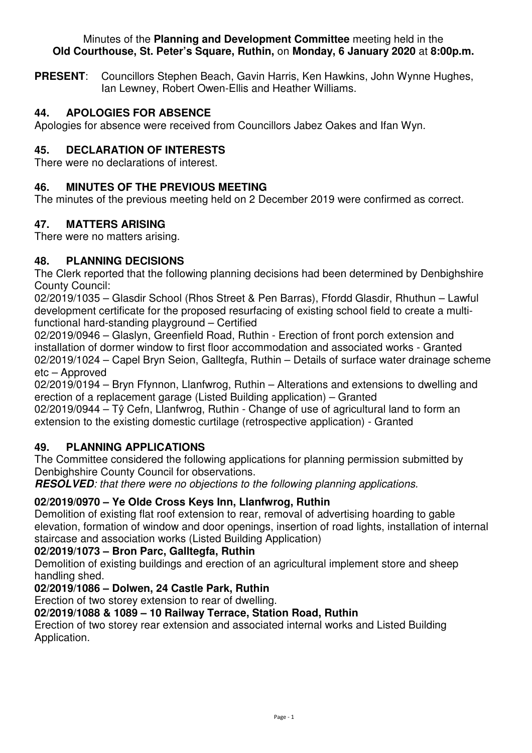#### Minutes of the **Planning and Development Committee** meeting held in the **Old Courthouse, St. Peter's Square, Ruthin,** on **Monday, 6 January 2020** at **8:00p.m.**

**PRESENT**: Councillors Stephen Beach, Gavin Harris, Ken Hawkins, John Wynne Hughes, Ian Lewney, Robert Owen-Ellis and Heather Williams.

## **44. APOLOGIES FOR ABSENCE**

Apologies for absence were received from Councillors Jabez Oakes and Ifan Wyn.

### **45. DECLARATION OF INTERESTS**

There were no declarations of interest.

#### **46. MINUTES OF THE PREVIOUS MEETING**

The minutes of the previous meeting held on 2 December 2019 were confirmed as correct.

### **47. MATTERS ARISING**

There were no matters arising.

### **48. PLANNING DECISIONS**

The Clerk reported that the following planning decisions had been determined by Denbighshire County Council:

02/2019/1035 – Glasdir School (Rhos Street & Pen Barras), Ffordd Glasdir, Rhuthun – Lawful development certificate for the proposed resurfacing of existing school field to create a multifunctional hard-standing playground – Certified

02/2019/0946 – Glaslyn, Greenfield Road, Ruthin - Erection of front porch extension and installation of dormer window to first floor accommodation and associated works - Granted 02/2019/1024 – Capel Bryn Seion, Galltegfa, Ruthin – Details of surface water drainage scheme etc – Approved

02/2019/0194 – Bryn Ffynnon, Llanfwrog, Ruthin – Alterations and extensions to dwelling and erection of a replacement garage (Listed Building application) – Granted

02/2019/0944 – Tŷ Cefn, Llanfwrog, Ruthin - Change of use of agricultural land to form an extension to the existing domestic curtilage (retrospective application) - Granted

### **49. PLANNING APPLICATIONS**

The Committee considered the following applications for planning permission submitted by Denbighshire County Council for observations.

**RESOLVED***: that there were no objections to the following planning applications.* 

### **02/2019/0970 – Ye Olde Cross Keys Inn, Llanfwrog, Ruthin**

Demolition of existing flat roof extension to rear, removal of advertising hoarding to gable elevation, formation of window and door openings, insertion of road lights, installation of internal staircase and association works (Listed Building Application)

### **02/2019/1073 – Bron Parc, Galltegfa, Ruthin**

Demolition of existing buildings and erection of an agricultural implement store and sheep handling shed.

### **02/2019/1086 – Dolwen, 24 Castle Park, Ruthin**

Erection of two storey extension to rear of dwelling.

### **02/2019/1088 & 1089 – 10 Railway Terrace, Station Road, Ruthin**

Erection of two storey rear extension and associated internal works and Listed Building Application.